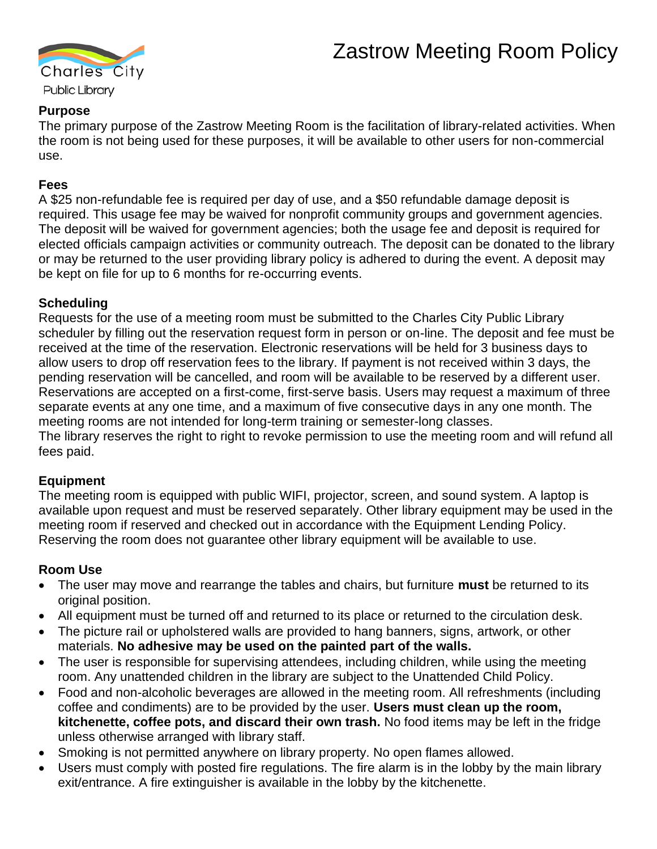## Zastrow Meeting Room Policy



#### **Purpose**

The primary purpose of the Zastrow Meeting Room is the facilitation of library-related activities. When the room is not being used for these purposes, it will be available to other users for non-commercial use.

#### **Fees**

A \$25 non-refundable fee is required per day of use, and a \$50 refundable damage deposit is required. This usage fee may be waived for nonprofit community groups and government agencies. The deposit will be waived for government agencies; both the usage fee and deposit is required for elected officials campaign activities or community outreach. The deposit can be donated to the library or may be returned to the user providing library policy is adhered to during the event. A deposit may be kept on file for up to 6 months for re-occurring events.

### **Scheduling**

Requests for the use of a meeting room must be submitted to the Charles City Public Library scheduler by filling out the reservation request form in person or on-line. The deposit and fee must be received at the time of the reservation. Electronic reservations will be held for 3 business days to allow users to drop off reservation fees to the library. If payment is not received within 3 days, the pending reservation will be cancelled, and room will be available to be reserved by a different user. Reservations are accepted on a first-come, first-serve basis. Users may request a maximum of three separate events at any one time, and a maximum of five consecutive days in any one month. The meeting rooms are not intended for long-term training or semester-long classes. The library reserves the right to right to revoke permission to use the meeting room and will refund all fees paid.

#### **Equipment**

The meeting room is equipped with public WIFI, projector, screen, and sound system. A laptop is available upon request and must be reserved separately. Other library equipment may be used in the meeting room if reserved and checked out in accordance with the Equipment Lending Policy. Reserving the room does not guarantee other library equipment will be available to use.

### **Room Use**

- The user may move and rearrange the tables and chairs, but furniture **must** be returned to its original position.
- All equipment must be turned off and returned to its place or returned to the circulation desk.
- The picture rail or upholstered walls are provided to hang banners, signs, artwork, or other materials. **No adhesive may be used on the painted part of the walls.**
- The user is responsible for supervising attendees, including children, while using the meeting room. Any unattended children in the library are subject to the Unattended Child Policy.
- Food and non-alcoholic beverages are allowed in the meeting room. All refreshments (including coffee and condiments) are to be provided by the user. **Users must clean up the room, kitchenette, coffee pots, and discard their own trash.** No food items may be left in the fridge unless otherwise arranged with library staff.
- Smoking is not permitted anywhere on library property. No open flames allowed.
- Users must comply with posted fire regulations. The fire alarm is in the lobby by the main library exit/entrance. A fire extinguisher is available in the lobby by the kitchenette.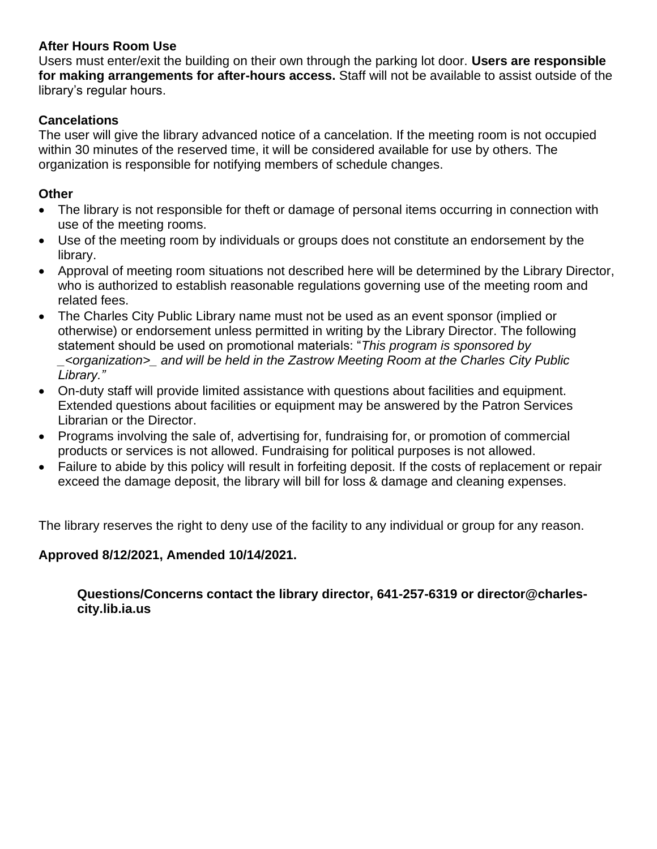### **After Hours Room Use**

Users must enter/exit the building on their own through the parking lot door. **Users are responsible for making arrangements for after-hours access.** Staff will not be available to assist outside of the library's regular hours.

## **Cancelations**

The user will give the library advanced notice of a cancelation. If the meeting room is not occupied within 30 minutes of the reserved time, it will be considered available for use by others. The organization is responsible for notifying members of schedule changes.

## **Other**

- The library is not responsible for theft or damage of personal items occurring in connection with use of the meeting rooms.
- Use of the meeting room by individuals or groups does not constitute an endorsement by the library.
- Approval of meeting room situations not described here will be determined by the Library Director, who is authorized to establish reasonable regulations governing use of the meeting room and related fees.
- The Charles City Public Library name must not be used as an event sponsor (implied or otherwise) or endorsement unless permitted in writing by the Library Director. The following statement should be used on promotional materials: "*This program is sponsored by \_<organization>\_ and will be held in the Zastrow Meeting Room at the Charles City Public Library."*
- On-duty staff will provide limited assistance with questions about facilities and equipment. Extended questions about facilities or equipment may be answered by the Patron Services Librarian or the Director.
- Programs involving the sale of, advertising for, fundraising for, or promotion of commercial products or services is not allowed. Fundraising for political purposes is not allowed.
- Failure to abide by this policy will result in forfeiting deposit. If the costs of replacement or repair exceed the damage deposit, the library will bill for loss & damage and cleaning expenses.

The library reserves the right to deny use of the facility to any individual or group for any reason.

### **Approved 8/12/2021, Amended 10/14/2021.**

**Questions/Concerns contact the library director, 641-257-6319 or director@charlescity.lib.ia.us**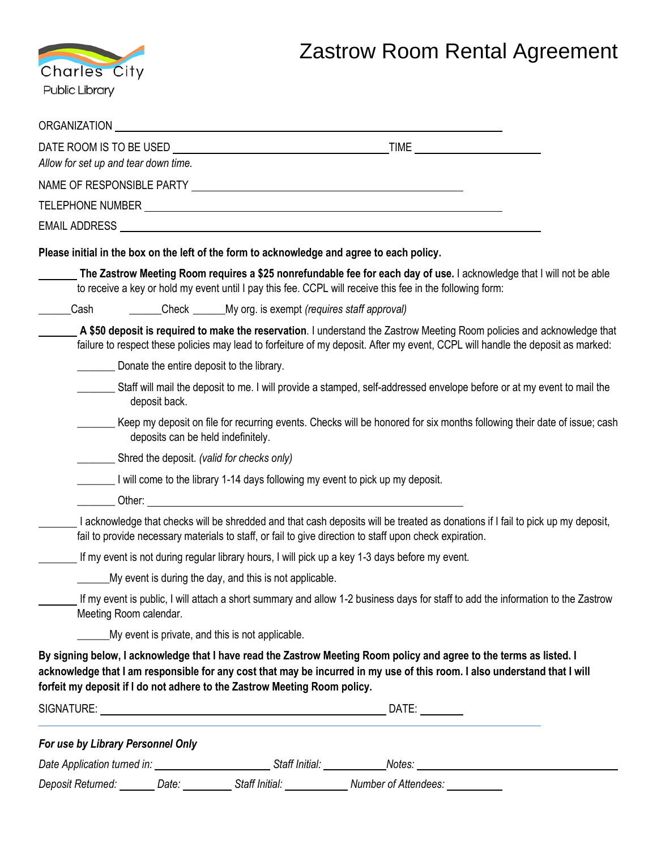

## Zastrow Room Rental Agreement

| DATE ROOM IS TO BE USED <u>experience</u> that the state of the state of the state of the state of the state of the state of the state of the state of the state of the state of the state of the state of the state of the state o<br><b>TIME Example 2008</b> |                                    |                                                                                                                                                                                                                                           |                                                                                                                                                                                                                                                            |  |
|-----------------------------------------------------------------------------------------------------------------------------------------------------------------------------------------------------------------------------------------------------------------|------------------------------------|-------------------------------------------------------------------------------------------------------------------------------------------------------------------------------------------------------------------------------------------|------------------------------------------------------------------------------------------------------------------------------------------------------------------------------------------------------------------------------------------------------------|--|
| Allow for set up and tear down time.                                                                                                                                                                                                                            |                                    |                                                                                                                                                                                                                                           |                                                                                                                                                                                                                                                            |  |
|                                                                                                                                                                                                                                                                 |                                    |                                                                                                                                                                                                                                           |                                                                                                                                                                                                                                                            |  |
|                                                                                                                                                                                                                                                                 |                                    |                                                                                                                                                                                                                                           | TELEPHONE NUMBER TELEVISION AND THE CONTRACT OF THE CONTRACT OF THE CONTRACT OF THE CONTRACT OF THE CONTRACT OF THE CONTRACT OF THE CONTRACT OF THE CONTRACT OF THE CONTRACT OF THE CONTRACT OF THE CONTRACT OF THE CONTRACT O                             |  |
|                                                                                                                                                                                                                                                                 |                                    |                                                                                                                                                                                                                                           |                                                                                                                                                                                                                                                            |  |
|                                                                                                                                                                                                                                                                 |                                    | Please initial in the box on the left of the form to acknowledge and agree to each policy.                                                                                                                                                |                                                                                                                                                                                                                                                            |  |
|                                                                                                                                                                                                                                                                 |                                    |                                                                                                                                                                                                                                           | The Zastrow Meeting Room requires a \$25 nonrefundable fee for each day of use. I acknowledge that I will not be able<br>to receive a key or hold my event until I pay this fee. CCPL will receive this fee in the following form:                         |  |
| Cash                                                                                                                                                                                                                                                            |                                    | Check _______My org. is exempt (requires staff approval)                                                                                                                                                                                  |                                                                                                                                                                                                                                                            |  |
|                                                                                                                                                                                                                                                                 |                                    |                                                                                                                                                                                                                                           | A \$50 deposit is required to make the reservation. I understand the Zastrow Meeting Room policies and acknowledge that<br>failure to respect these policies may lead to forfeiture of my deposit. After my event, CCPL will handle the deposit as marked: |  |
|                                                                                                                                                                                                                                                                 |                                    | Donate the entire deposit to the library.                                                                                                                                                                                                 |                                                                                                                                                                                                                                                            |  |
|                                                                                                                                                                                                                                                                 | deposit back.                      |                                                                                                                                                                                                                                           | Staff will mail the deposit to me. I will provide a stamped, self-addressed envelope before or at my event to mail the                                                                                                                                     |  |
|                                                                                                                                                                                                                                                                 | deposits can be held indefinitely. |                                                                                                                                                                                                                                           | Keep my deposit on file for recurring events. Checks will be honored for six months following their date of issue; cash                                                                                                                                    |  |
|                                                                                                                                                                                                                                                                 |                                    | Shred the deposit. (valid for checks only)                                                                                                                                                                                                |                                                                                                                                                                                                                                                            |  |
|                                                                                                                                                                                                                                                                 |                                    | I will come to the library 1-14 days following my event to pick up my deposit.                                                                                                                                                            |                                                                                                                                                                                                                                                            |  |
|                                                                                                                                                                                                                                                                 |                                    | <u>Second</u> Other: <u>Contract of the Contract of the Contract of the Contract of the Contract of the Contract of the Contract of the Contract of the Contract of the Contract of the Contract of the Contract of the Contract of t</u> |                                                                                                                                                                                                                                                            |  |
|                                                                                                                                                                                                                                                                 |                                    |                                                                                                                                                                                                                                           | I acknowledge that checks will be shredded and that cash deposits will be treated as donations if I fail to pick up my deposit,<br>fail to provide necessary materials to staff, or fail to give direction to staff upon check expiration.                 |  |
|                                                                                                                                                                                                                                                                 |                                    |                                                                                                                                                                                                                                           | If my event is not during regular library hours, I will pick up a key 1-3 days before my event.                                                                                                                                                            |  |
|                                                                                                                                                                                                                                                                 |                                    | My event is during the day, and this is not applicable.                                                                                                                                                                                   |                                                                                                                                                                                                                                                            |  |
| Meeting Room calendar.                                                                                                                                                                                                                                          |                                    |                                                                                                                                                                                                                                           | If my event is public, I will attach a short summary and allow 1-2 business days for staff to add the information to the Zastrow                                                                                                                           |  |
|                                                                                                                                                                                                                                                                 |                                    | My event is private, and this is not applicable.                                                                                                                                                                                          |                                                                                                                                                                                                                                                            |  |
|                                                                                                                                                                                                                                                                 |                                    | forfeit my deposit if I do not adhere to the Zastrow Meeting Room policy.                                                                                                                                                                 | By signing below, I acknowledge that I have read the Zastrow Meeting Room policy and agree to the terms as listed. I<br>acknowledge that I am responsible for any cost that may be incurred in my use of this room. I also understand that I will          |  |
|                                                                                                                                                                                                                                                                 |                                    |                                                                                                                                                                                                                                           |                                                                                                                                                                                                                                                            |  |
|                                                                                                                                                                                                                                                                 |                                    |                                                                                                                                                                                                                                           |                                                                                                                                                                                                                                                            |  |
| For use by Library Personnel Only                                                                                                                                                                                                                               |                                    |                                                                                                                                                                                                                                           |                                                                                                                                                                                                                                                            |  |
|                                                                                                                                                                                                                                                                 |                                    |                                                                                                                                                                                                                                           |                                                                                                                                                                                                                                                            |  |
|                                                                                                                                                                                                                                                                 |                                    |                                                                                                                                                                                                                                           | Deposit Returned: _______ Date: __________ Staff Initial: ____________ Number of Attendees: ____________                                                                                                                                                   |  |